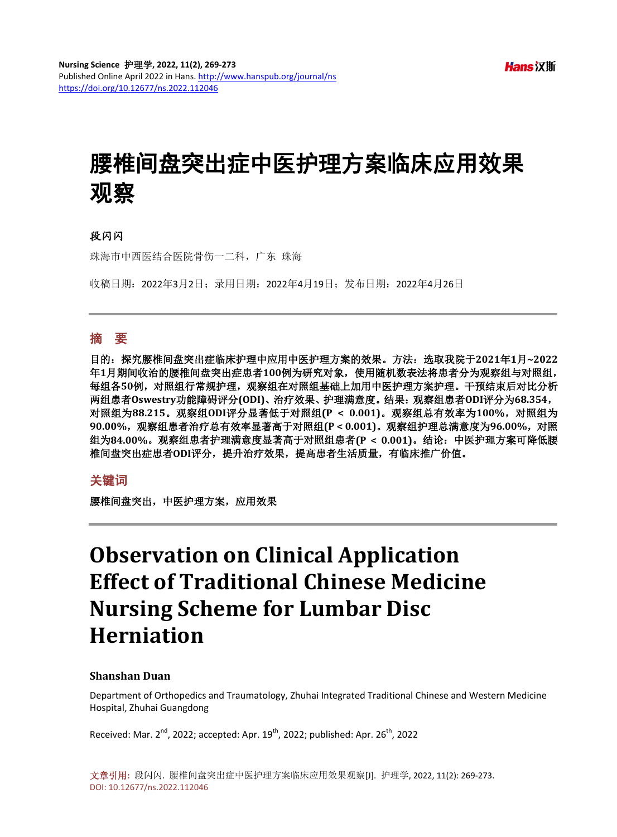# 腰椎间盘突出症中医护理方案临床应用效果 观察

# 段闪闪

珠海市中西医结合医院骨伤一二科,广东 珠海

收稿日期:2022年3月2日;录用日期:2022年4月19日;发布日期:2022年4月26日

# 摘 要

目的:探究腰椎间盘突出症临床护理中应用中医护理方案的效果。方法:选取我院于**2021**年**1**月**~2022** 年**1**月期间收治的腰椎间盘突出症患者**100**例为研究对象,使用随机数表法将患者分为观察组与对照组, 每组各**50**例,对照组行常规护理,观察组在对照组基础上加用中医护理方案护理。干预结束后对比分析 两组患者**Oswestry**功能障碍评分**(ODI)**、治疗效果、护理满意度。结果:观察组患者**ODI**评分为**68.354**, 对照组为**88.215**。观察组**ODI**评分显著低于对照组**(P < 0.001)**。观察组总有效率为**100%**,对照组为 **90.00%**,观察组患者治疗总有效率显著高于对照组**(P < 0.001)**。观察组护理总满意度为**96.00%**,对照 组为**84.00%**。观察组患者护理满意度显著高于对照组患者**(P < 0.001)**。结论:中医护理方案可降低腰 椎间盘突出症患者**ODI**评分,提升治疗效果,提高患者生活质量,有临床推广价值。

# 关键词

腰椎间盘突出,中医护理方案,应用效果

# **Observation on Clinical Application Effect of Traditional Chinese Medicine Nursing Scheme for Lumbar Disc Herniation**

#### **Shanshan Duan**

Department of Orthopedics and Traumatology, Zhuhai Integrated Traditional Chinese and Western Medicine Hospital, Zhuhai Guangdong

Received: Mar.  $2^{nd}$ , 2022; accepted: Apr.  $19^{th}$ , 2022; published: Apr.  $26^{th}$ , 2022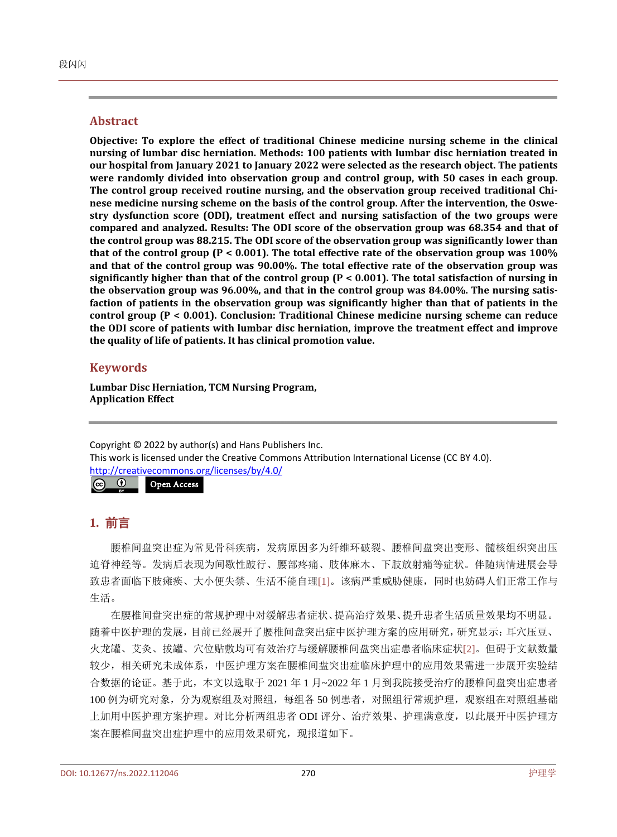#### **Abstract**

**Objective: To explore the effect of traditional Chinese medicine nursing scheme in the clinical nursing of lumbar disc herniation. Methods: 100 patients with lumbar disc herniation treated in our hospital from January 2021 to January 2022 were selected as the research object. The patients were randomly divided into observation group and control group, with 50 cases in each group. The control group received routine nursing, and the observation group received traditional Chinese medicine nursing scheme on the basis of the control group. After the intervention, the Oswestry dysfunction score (ODI), treatment effect and nursing satisfaction of the two groups were compared and analyzed. Results: The ODI score of the observation group was 68.354 and that of the control group was 88.215. The ODI score of the observation group was significantly lower than that of the control group (P < 0.001). The total effective rate of the observation group was 100% and that of the control group was 90.00%. The total effective rate of the observation group was significantly higher than that of the control group (P < 0.001). The total satisfaction of nursing in the observation group was 96.00%, and that in the control group was 84.00%. The nursing satisfaction of patients in the observation group was significantly higher than that of patients in the control group (P < 0.001). Conclusion: Traditional Chinese medicine nursing scheme can reduce the ODI score of patients with lumbar disc herniation, improve the treatment effect and improve the quality of life of patients. It has clinical promotion value.**

# **Keywords**

**Lumbar Disc Herniation, TCM Nursing Program, Application Effect**

Copyright © 2022 by author(s) and Hans Publishers Inc. This work is licensed under the Creative Commons Attribution International License (CC BY 4.0). <http://creativecommons.org/licenses/by/4.0/>  $\sqrt{c}$  $\odot$ Open Access

# **1.** 前言

腰椎间盘突出症为常见骨科疾病,发病原因多为纤维环破裂、腰椎间盘突出变形、髓核组织突出压 迫脊神经等。发病后表现为间歇性跛行、腰部疼痛、肢体麻木、下肢放射痛等症状。伴随病情进展会导 致患者面临下肢瘫痪、大小便失禁、生活不能自理[\[1\]](#page-4-0)。该病严重威胁健康,同时也妨碍人们正常工作与 生活。

在腰椎间盘突出症的常规护理中对缓解患者症状、提高治疗效果、提升患者生活质量效果均不明显。 随着中医护理的发展,目前已经展开了腰椎间盘突出症中医护理方案的应用研究,研究显示:耳穴压豆、 火龙罐、艾灸、拔罐、穴位贴敷均可有效治疗与缓解腰椎间盘突出症患者临床症状[\[2\]](#page-4-1)。但碍于文献数量 较少,相关研究未成体系,中医护理方案在腰椎间盘突出症临床护理中的应用效果需进一步展开实验结 合数据的论证。基于此,本文以选取于 2021 年 1 月~2022 年 1 月到我院接受治疗的腰椎间盘突出症患者 100 例为研究对象,分为观察组及对照组,每组各 50 例患者,对照组行常规护理,观察组在对照组基础 上加用中医护理方案护理。对比分析两组患者 ODI 评分、治疗效果、护理满意度,以此展开中医护理方 案在腰椎间盘突出症护理中的应用效果研究, 现报道如下。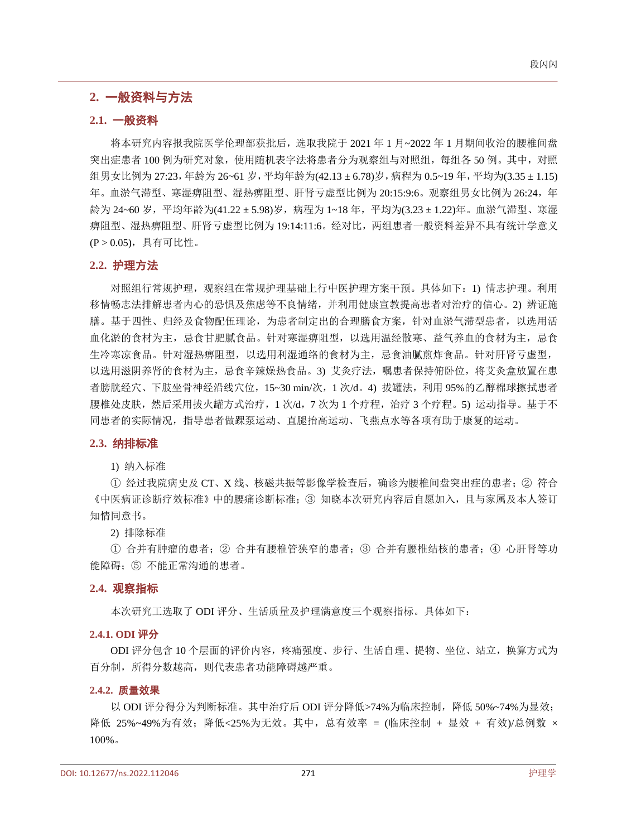# **2.** 一般资料与方法

#### **2.1.** 一般资料

将本研究内容报我院医学伦理部获批后,选取我院于 2021 年 1 月~2022 年 1 月期间收治的腰椎间盘 突出症患者 100 例为研究对象,使用随机表字法将患者分为观察组与对照组,每组各 50 例。其中,对照 组男女比例为 27:23,年龄为 26~61 岁,平均年龄为(42.13 ± 6.78)岁,病程为 0.5~19 年,平均为(3.35 ± 1.15) 年。血淤气滞型、寒湿痹阻型、湿热痹阻型、肝肾亏虚型比例为 20:15:9:6。观察组男女比例为 26:24, 年 龄为 24~60岁, 平均年龄为(41.22 ± 5.98)岁, 病程为 1~18年, 平均为(3.23 ± 1.22)年。血淤气滞型、寒湿 痹阻型、湿热痹阻型、肝肾亏虚型比例为 19:14:11:6。经对比,两组患者一般资料差异不具有统计学意义 (P > 0.05),具有可比性。

#### **2.2.** 护理方法

对照组行常规护理,观察组在常规护理基础上行中医护理方案干预。具体如下:1) 情志护理。利用 移情畅志法排解患者内心的恐惧及焦虑等不良情绪,并利用健康宣教提高患者对治疗的信心。2) 辨证施 膳。基于四性、归经及食物配伍理论,为患者制定出的合理膳食方案,针对血淤气滞型患者,以选用活 血化淤的食材为主,忌食甘肥腻食品。针对寒湿痹阻型,以选用温经散寒、益气养血的食材为主,忌食 生冷寒凉食品。针对湿热痹阻型,以选用利湿通络的食材为主,忌食油腻煎炸食品。针对肝肾亏虚型, 以选用滋阴养肾的食材为主,忌食辛辣燥热食品。3) 艾灸疗法,嘱患者保持俯卧位,将艾灸盒放置在患 者膀胱经穴、下肢坐骨神经沿线穴位,15~30 min/次,1 次/d。4) 拔罐法,利用 95%的乙醇棉球擦拭患者 腰椎处皮肤,然后采用拔火罐方式治疗,1次/d,7次为1个疗程,治疗3个疗程。5)运动指导。基于不 同患者的实际情况,指导患者做踝泵运动、直腿抬高运动、飞燕点水等各项有助于康复的运动。

#### **2.3.** 纳排标准

1) 纳入标准

① 经过我院病史及 CT、X 线、核磁共振等影像学检查后,确诊为腰椎间盘突出症的患者;② 符合 《中医病证诊断疗效标准》中的腰痛诊断标准;③ 知晓本次研究内容后自愿加入,且与家属及本人签订 知情同意书。

2) 排除标准

① 合并有肿瘤的患者;② 合并有腰椎管狭窄的患者;③ 合并有腰椎结核的患者;④ 心肝肾等功 能障碍;⑤ 不能正常沟通的患者。

#### **2.4.** 观察指标

本次研究工选取了 ODI 评分、生活质量及护理满意度三个观察指标。具体如下:

#### **2.4.1. ODI** 评分

ODI 评分包含 10 个层面的评价内容,疼痛强度、步行、生活自理、提物、坐位、站立,换算方式为 百分制,所得分数越高,则代表患者功能障碍越严重。

#### **2.4.2.** 质量效果

以 ODI 评分得分为判断标准。其中治疗后 ODI 评分降低>74%为临床控制, 降低 50%~74%为显效; 降低 25%~49%为有效;降低<25%为无效。其中, 总有效率 = (临床控制 + 显效 + 有效)/总例数 × 100%。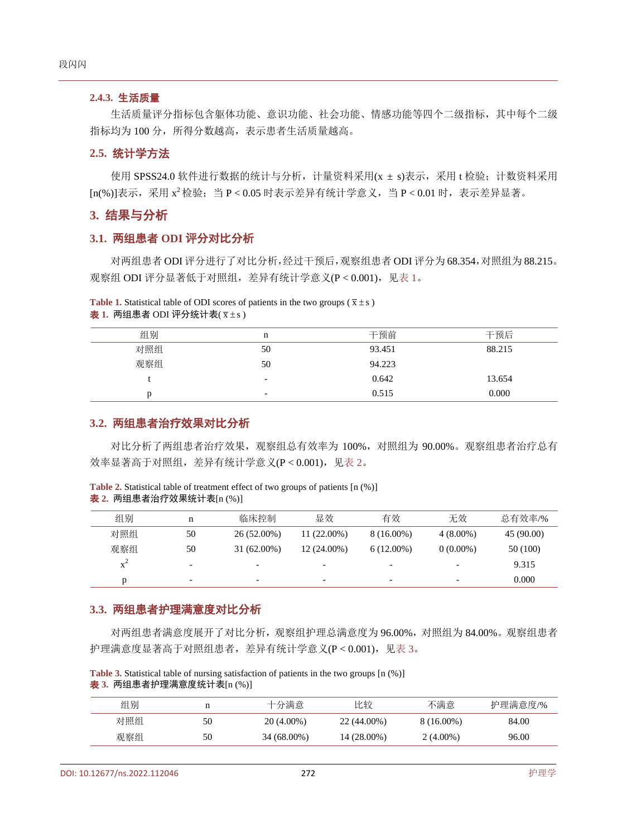#### **2.4.3.** 生活质量

生活质量评分指标包含躯体功能、意识功能、社会功能、情感功能等四个二级指标,其中每个二级 指标均为 100 分,所得分数越高,表示患者生活质量越高。

#### **2.5.** 统计学方法

使用 SPSS24.0 软件进行数据的统计与分析, 计量资料采用(x ± s)表示, 采用 t 检验; 计数资料采用  $\ln(96)$ ]表示, 采用  $x^2$ 检验; 当  $P < 0.05$  时表示差异有统计学意义, 当  $P < 0.01$  时, 表示差异显著。

# **3.** 结果与分析

#### **3.1.** 两组患者 **ODI** 评分对比分析

对两组患者 ODI 评分进行了对比分析,经过干预后,观察组患者 ODI 评分为 68.354,对照组为 88.215。 观察组 ODI 评分显著低于对照组,差异有统计学意义(P < 0.001), [见表](#page-3-0) 1。

<span id="page-3-0"></span>**Table 1.** Statistical table of ODI scores of patients in the two groups ( $\bar{x} \pm s$ )  $\pm 1$ . 两组患者 ODI 评分统计表( $\bar{x}$ ±s)

| 组别  | n                        | 干预前    | 干预后    |
|-----|--------------------------|--------|--------|
| 对照组 | 50                       | 93.451 | 88.215 |
| 观察组 | 50                       | 94.223 |        |
|     | $\overline{\phantom{0}}$ | 0.642  | 13.654 |
|     | $\overline{\phantom{0}}$ | 0.515  | 0.000  |

# **3.2.** 两组患者治疗效果对比分析

对比分析了两组患者治疗效果,观察组总有效率为 100%,对照组为 90.00%。观察组患者治疗总有 效率显著高于对照组,差异有统计学意义(P < 0.001),[见表](#page-3-1) 2。

<span id="page-3-1"></span>**Table 2.** Statistical table of treatment effect of two groups of patients [n (%)] 表 **2.** 两组患者治疗效果统计表[n (%)]

| 组别    | n                        | 临床控制                     | 显效                       | 有效                       | 无效                       | 总有效率/%     |
|-------|--------------------------|--------------------------|--------------------------|--------------------------|--------------------------|------------|
| 对照组   | 50                       | 26 (52.00%)              | $11(22.00\%)$            | $8(16.00\%)$             | $4(8.00\%)$              | 45 (90.00) |
| 观察组   | 50                       | $31(62.00\%)$            | $12(24.00\%)$            | $6(12.00\%)$             | $0(0.00\%)$              | 50 (100)   |
| $X^2$ | $\overline{\phantom{0}}$ | $\overline{\phantom{0}}$ | $\overline{\phantom{0}}$ | $\overline{\phantom{0}}$ | $\overline{\phantom{a}}$ | 9.315      |
|       | -                        | $\overline{\phantom{0}}$ | $\overline{\phantom{0}}$ | -                        |                          | 0.000      |

#### **3.3.** 两组患者护理满意度对比分析

对两组患者满意度展开了对比分析,观察组护理总满意度为 96.00%,对照组为 84.00%。观察组患者 护理满意度显著高于对照组患者,差异有统计学意义(P < 0.001),[见表](#page-3-2) 3。

<span id="page-3-2"></span>**Table 3.** Statistical table of nursing satisfaction of patients in the two groups [n (%)] 表 **3.** 两组患者护理满意度统计表[n (%)]

| 组别  |    | 十分满意         | 比较          | 不满意          | 护理满意度/% |
|-----|----|--------------|-------------|--------------|---------|
| 对照组 | 50 | $20(4.00\%)$ | 22 (44.00%) | $8(16.00\%)$ | 84.00   |
| 观察组 | 50 | 34 (68.00%)  | 14 (28.00%) | $2(4.00\%)$  | 96.00   |